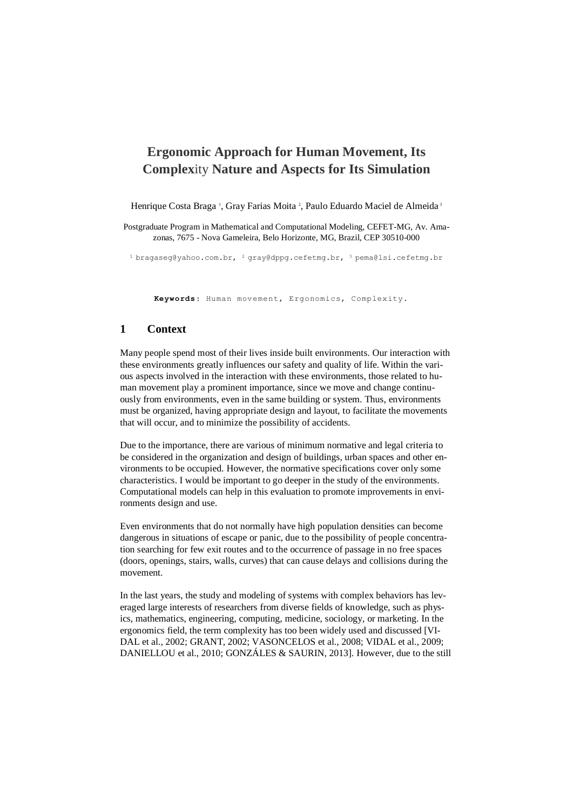# **Ergonomic Approach for Human Movement, Its Complex**ity **Nature and Aspects for Its Simulation**

Henrique Costa Braga<sup>1</sup>, Gray Farias Moita<sup>2</sup>, Paulo Eduardo Maciel de Almeida<sup>3</sup>

Postgraduate Program in Mathematical and Computational Modeling, CEFET-MG, Av. Amazonas, 7675 - Nova Gameleira, Belo Horizonte, MG, Brazil, CEP 30510-000

 $^{1}$  bragaseg@yahoo.com.br,  $^{2}$  [gray@dppg.cefetmg.br,](mailto:2%20gray@dppg.cefetmg.br)  $^{3}$  [pema@lsi.cefetmg.br](mailto:pema@lsi.cefetmg.br)

Keywords: Human movement, Ergonomics, Complexity.

#### **1 Context**

Many people spend most of their lives inside built environments. Our interaction with these environments greatly influences our safety and quality of life. Within the various aspects involved in the interaction with these environments, those related to human movement play a prominent importance, since we move and change continuously from environments, even in the same building or system. Thus, environments must be organized, having appropriate design and layout, to facilitate the movements that will occur, and to minimize the possibility of accidents.

Due to the importance, there are various of minimum normative and legal criteria to be considered in the organization and design of buildings, urban spaces and other environments to be occupied. However, the normative specifications cover only some characteristics. I would be important to go deeper in the study of the environments. Computational models can help in this evaluation to promote improvements in environments design and use.

Even environments that do not normally have high population densities can become dangerous in situations of escape or panic, due to the possibility of people concentration searching for few exit routes and to the occurrence of passage in no free spaces (doors, openings, stairs, walls, curves) that can cause delays and collisions during the movement.

In the last years, the study and modeling of systems with complex behaviors has leveraged large interests of researchers from diverse fields of knowledge, such as physics, mathematics, engineering, computing, medicine, sociology, or marketing. In the ergonomics field, the term complexity has too been widely used and discussed [VI-DAL et al., 2002; GRANT, 2002; VASONCELOS et al., 2008; VIDAL et al., 2009; DANIELLOU et al., 2010; GONZÁLES & SAURIN, 2013]. However, due to the still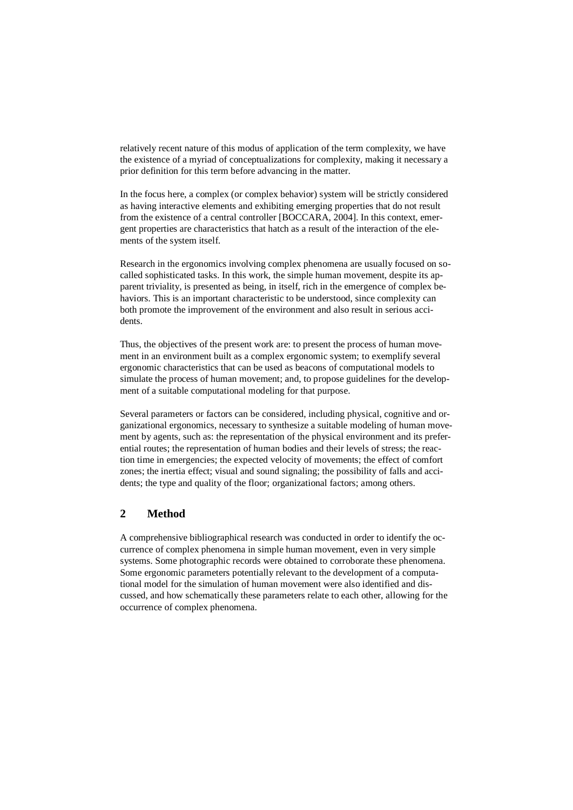relatively recent nature of this modus of application of the term complexity, we have the existence of a myriad of conceptualizations for complexity, making it necessary a prior definition for this term before advancing in the matter.

In the focus here, a complex (or complex behavior) system will be strictly considered as having interactive elements and exhibiting emerging properties that do not result from the existence of a central controller [BOCCARA, 2004]. In this context, emergent properties are characteristics that hatch as a result of the interaction of the elements of the system itself.

Research in the ergonomics involving complex phenomena are usually focused on socalled sophisticated tasks. In this work, the simple human movement, despite its apparent triviality, is presented as being, in itself, rich in the emergence of complex behaviors. This is an important characteristic to be understood, since complexity can both promote the improvement of the environment and also result in serious accidents.

Thus, the objectives of the present work are: to present the process of human movement in an environment built as a complex ergonomic system; to exemplify several ergonomic characteristics that can be used as beacons of computational models to simulate the process of human movement; and, to propose guidelines for the development of a suitable computational modeling for that purpose.

Several parameters or factors can be considered, including physical, cognitive and organizational ergonomics, necessary to synthesize a suitable modeling of human movement by agents, such as: the representation of the physical environment and its preferential routes; the representation of human bodies and their levels of stress; the reaction time in emergencies; the expected velocity of movements; the effect of comfort zones; the inertia effect; visual and sound signaling; the possibility of falls and accidents; the type and quality of the floor; organizational factors; among others.

# **2 Method**

A comprehensive bibliographical research was conducted in order to identify the occurrence of complex phenomena in simple human movement, even in very simple systems. Some photographic records were obtained to corroborate these phenomena. Some ergonomic parameters potentially relevant to the development of a computational model for the simulation of human movement were also identified and discussed, and how schematically these parameters relate to each other, allowing for the occurrence of complex phenomena.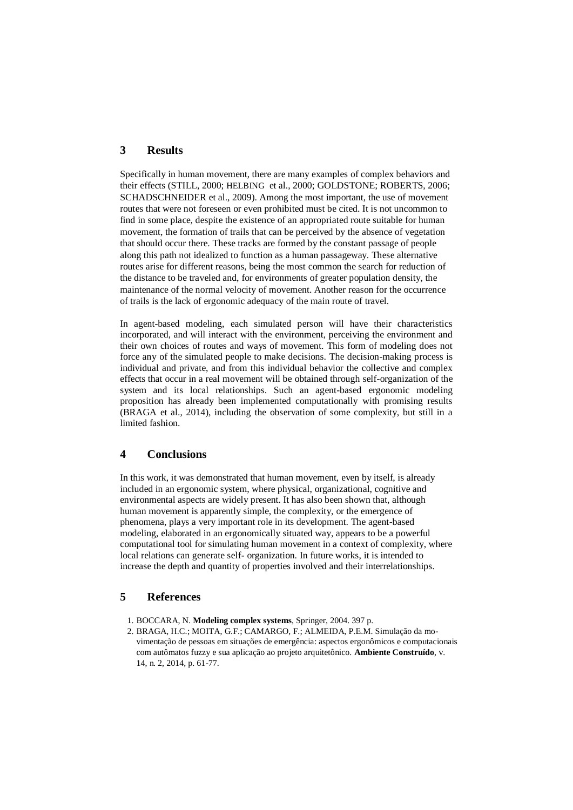## **3 Results**

Specifically in human movement, there are many examples of complex behaviors and their effects (STILL, 2000; HELBING et al., 2000; GOLDSTONE; ROBERTS, 2006; SCHADSCHNEIDER et al., 2009). Among the most important, the use of movement routes that were not foreseen or even prohibited must be cited. It is not uncommon to find in some place, despite the existence of an appropriated route suitable for human movement, the formation of trails that can be perceived by the absence of vegetation that should occur there. These tracks are formed by the constant passage of people along this path not idealized to function as a human passageway. These alternative routes arise for different reasons, being the most common the search for reduction of the distance to be traveled and, for environments of greater population density, the maintenance of the normal velocity of movement. Another reason for the occurrence of trails is the lack of ergonomic adequacy of the main route of travel.

In agent-based modeling, each simulated person will have their characteristics incorporated, and will interact with the environment, perceiving the environment and their own choices of routes and ways of movement. This form of modeling does not force any of the simulated people to make decisions. The decision-making process is individual and private, and from this individual behavior the collective and complex effects that occur in a real movement will be obtained through self-organization of the system and its local relationships. Such an agent-based ergonomic modeling proposition has already been implemented computationally with promising results (BRAGA et al., 2014), including the observation of some complexity, but still in a limited fashion.

## **4 Conclusions**

In this work, it was demonstrated that human movement, even by itself, is already included in an ergonomic system, where physical, organizational, cognitive and environmental aspects are widely present. It has also been shown that, although human movement is apparently simple, the complexity, or the emergence of phenomena, plays a very important role in its development. The agent-based modeling, elaborated in an ergonomically situated way, appears to be a powerful computational tool for simulating human movement in a context of complexity, where local relations can generate self- organization. In future works, it is intended to increase the depth and quantity of properties involved and their interrelationships.

#### **5 References**

- 1. BOCCARA, N. **Modeling complex systems**, Springer, 2004. 397 p.
- 2. BRAGA, H.C.; MOITA, G.F.; CAMARGO, F.; ALMEIDA, P.E.M. Simulação da movimentação de pessoas em situações de emergência: aspectos ergonômicos e computacionais com autômatos fuzzy e sua aplicação ao projeto arquitetônico. **Ambiente Construído**, v. 14, n. 2, 2014, p. 61-77.